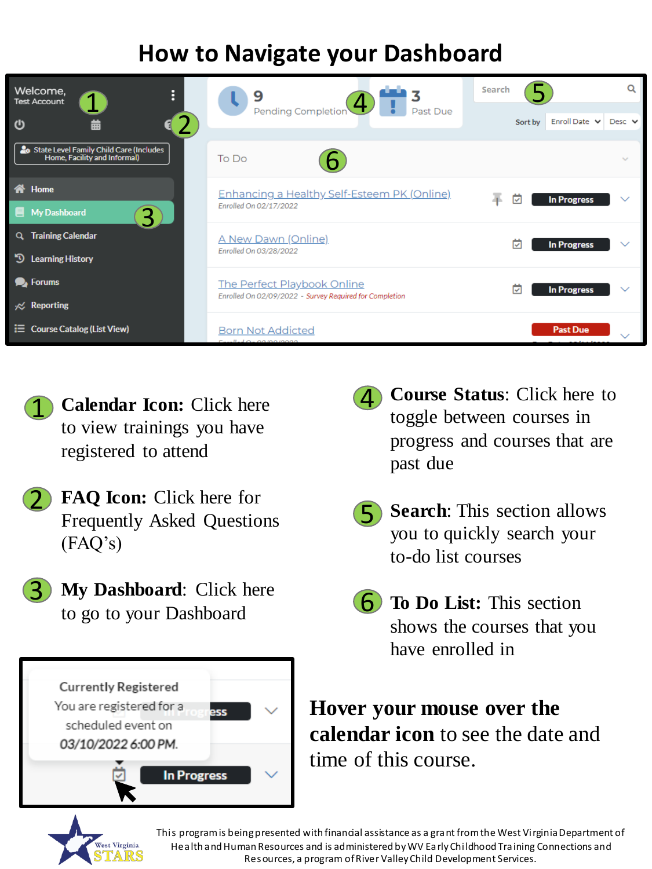## **How to Navigate your Dashboard**





- **FAQ Icon:** Click here for Frequently Asked Questions (FAQ's) 2
	- **My Dashboard**: Click here to go to your Dashboard



- 4 **Course Status**: Click here to toggle between courses in progress and courses that are past due
- **Search**: This section allows you to quickly search your to-do list courses  $|\mathsf{F}|$
- **6** To Do List: This section shows the courses that you have enrolled in

**Hover your mouse over the calendar icon** to see the date and time of this course.



'२'

This program is being presented with financial assistance as a grant from the West Virginia Department of Health and Human Resources and is administered by WV Early Childhood Training Connections and Resources, a program of River Valley Child Development Services.